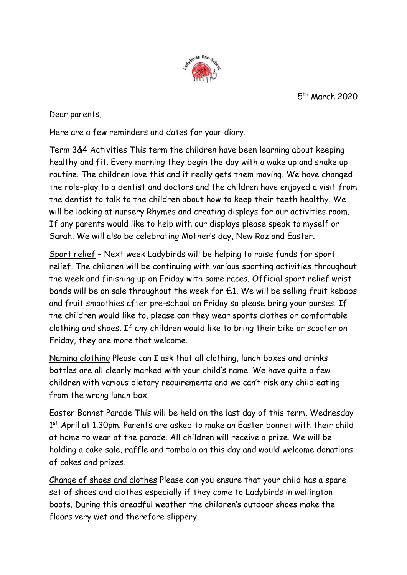5 th March 2020



Dear parents,

Here are a few reminders and dates for your diary.

Term 3&4 Activities This term the children have been learning about keeping healthy and fit. Every morning they begin the day with a wake up and shake up routine. The children love this and it really gets them moving. We have changed the role-play to a dentist and doctors and the children have enjoyed a visit from the dentist to talk to the children about how to keep their teeth healthy. We will be looking at nursery Rhymes and creating displays for our activities room. If any parents would like to help with our displays please speak to myself or Sarah. We will also be celebrating Mother's day, New Roz and Easter.

Sport relief – Next week Ladybirds will be helping to raise funds for sport relief. The children will be continuing with various sporting activities throughout the week and finishing up on Friday with some races. Official sport relief wrist bands will be on sale throughout the week for £1. We will be selling fruit kebabs and fruit smoothies after pre-school on Friday so please bring your purses. If the children would like to, please can they wear sports clothes or comfortable clothing and shoes. If any children would like to bring their bike or scooter on Friday, they are more that welcome.

Naming clothing Please can I ask that all clothing, lunch boxes and drinks bottles are all clearly marked with your child's name. We have quite a few children with various dietary requirements and we can't risk any child eating from the wrong lunch box.

Easter Bonnet Parade This will be held on the last day of this term, Wednesday 1<sup>st</sup> April at 1.30pm. Parents are asked to make an Easter bonnet with their child at home to wear at the parade. All children will receive a prize. We will be holding a cake sale, raffle and tombola on this day and would welcome donations of cakes and prizes.

Change of shoes and clothes Please can you ensure that your child has a spare set of shoes and clothes especially if they come to Ladybirds in wellington boots. During this dreadful weather the children's outdoor shoes make the floors very wet and therefore slippery.